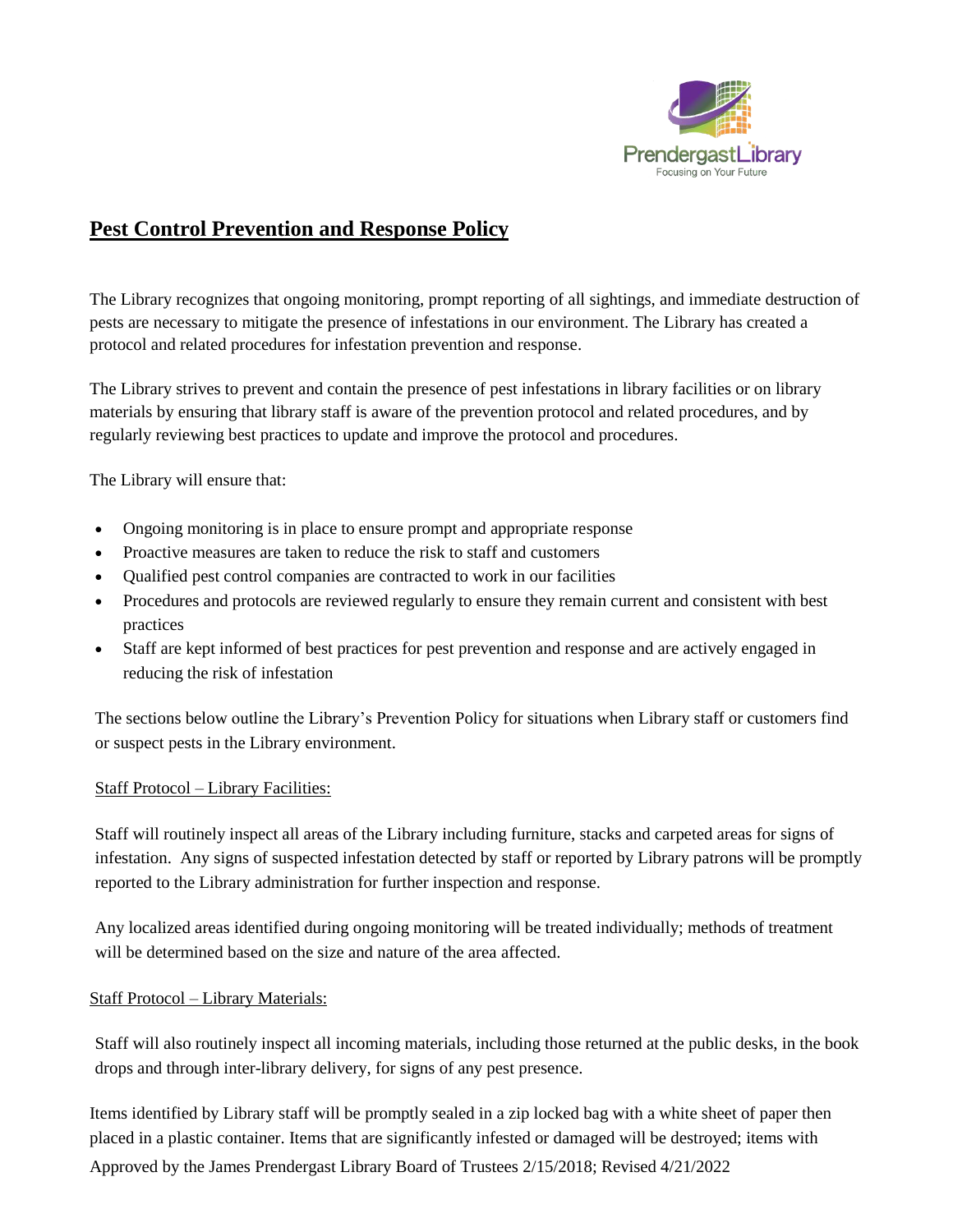

# **Pest Control Prevention and Response Policy**

The Library recognizes that ongoing monitoring, prompt reporting of all sightings, and immediate destruction of pests are necessary to mitigate the presence of infestations in our environment. The Library has created a protocol and related procedures for infestation prevention and response.

The Library strives to prevent and contain the presence of pest infestations in library facilities or on library materials by ensuring that library staff is aware of the prevention protocol and related procedures, and by regularly reviewing best practices to update and improve the protocol and procedures.

The Library will ensure that:

- Ongoing monitoring is in place to ensure prompt and appropriate response
- Proactive measures are taken to reduce the risk to staff and customers
- Oualified pest control companies are contracted to work in our facilities
- Procedures and protocols are reviewed regularly to ensure they remain current and consistent with best practices
- Staff are kept informed of best practices for pest prevention and response and are actively engaged in reducing the risk of infestation

The sections below outline the Library's Prevention Policy for situations when Library staff or customers find or suspect pests in the Library environment.

#### Staff Protocol – Library Facilities:

Staff will routinely inspect all areas of the Library including furniture, stacks and carpeted areas for signs of infestation. Any signs of suspected infestation detected by staff or reported by Library patrons will be promptly reported to the Library administration for further inspection and response.

Any localized areas identified during ongoing monitoring will be treated individually; methods of treatment will be determined based on the size and nature of the area affected.

## Staff Protocol – Library Materials:

Staff will also routinely inspect all incoming materials, including those returned at the public desks, in the book drops and through inter-library delivery, for signs of any pest presence.

Approved by the James Prendergast Library Board of Trustees 2/15/2018; Revised 4/21/2022 Items identified by Library staff will be promptly sealed in a zip locked bag with a white sheet of paper then placed in a plastic container. Items that are significantly infested or damaged will be destroyed; items with